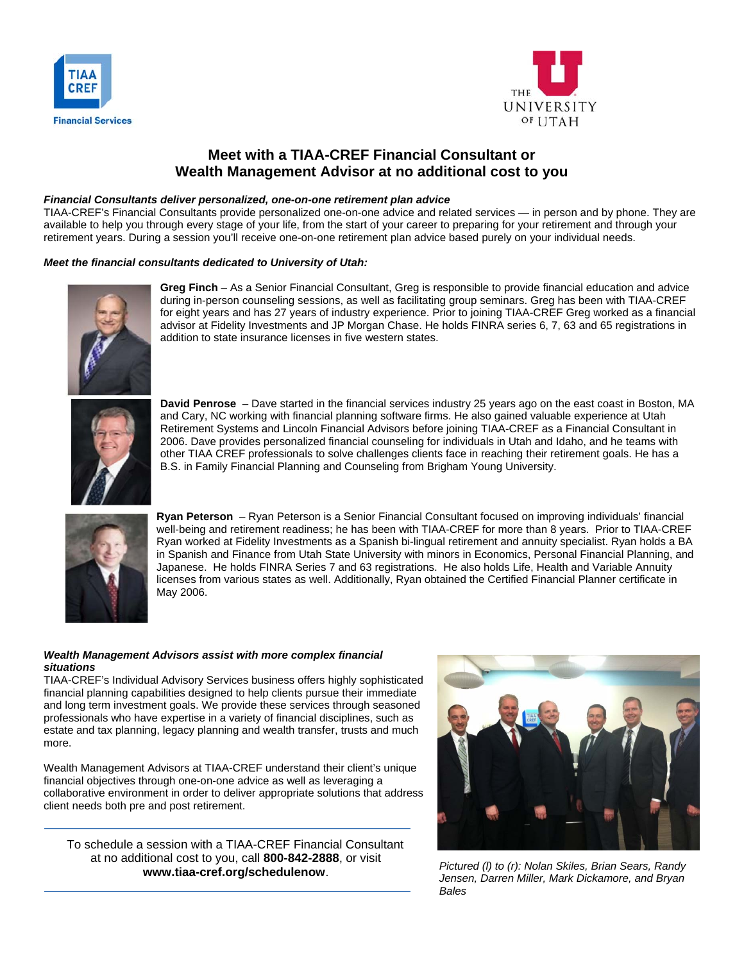



# **Meet with a TIAA-CREF Financial Consultant or Wealth Management Advisor at no additional cost to you**

### *Financial Consultants deliver personalized, one-on-one retirement plan advice*

TIAA-CREF's Financial Consultants provide personalized one-on-one advice and related services — in person and by phone. They are available to help you through every stage of your life, from the start of your career to preparing for your retirement and through your retirement years. During a session you'll receive one-on-one retirement plan advice based purely on your individual needs.

#### *Meet the financial consultants dedicated to University of Utah:*



**Greg Finch** – As a Senior Financial Consultant, Greg is responsible to provide financial education and advice during in-person counseling sessions, as well as facilitating group seminars. Greg has been with TIAA-CREF for eight years and has 27 years of industry experience. Prior to joining TIAA-CREF Greg worked as a financial advisor at Fidelity Investments and JP Morgan Chase. He holds FINRA series 6, 7, 63 and 65 registrations in addition to state insurance licenses in five western states.



**David Penrose** – Dave started in the financial services industry 25 years ago on the east coast in Boston, MA and Cary, NC working with financial planning software firms. He also gained valuable experience at Utah Retirement Systems and Lincoln Financial Advisors before joining TIAA-CREF as a Financial Consultant in 2006. Dave provides personalized financial counseling for individuals in Utah and Idaho, and he teams with other TIAA CREF professionals to solve challenges clients face in reaching their retirement goals. He has a B.S. in Family Financial Planning and Counseling from Brigham Young University.



**Ryan Peterson** – Ryan Peterson is a Senior Financial Consultant focused on improving individuals' financial well-being and retirement readiness; he has been with TIAA-CREF for more than 8 years. Prior to TIAA-CREF Ryan worked at Fidelity Investments as a Spanish bi-lingual retirement and annuity specialist. Ryan holds a BA in Spanish and Finance from Utah State University with minors in Economics, Personal Financial Planning, and Japanese. He holds FINRA Series 7 and 63 registrations. He also holds Life, Health and Variable Annuity licenses from various states as well. Additionally, Ryan obtained the Certified Financial Planner certificate in May 2006.

#### *Wealth Management Advisors assist with more complex financial situations*

TIAA-CREF's Individual Advisory Services business offers highly sophisticated financial planning capabilities designed to help clients pursue their immediate and long term investment goals. We provide these services through seasoned professionals who have expertise in a variety of financial disciplines, such as estate and tax planning, legacy planning and wealth transfer, trusts and much more.

Wealth Management Advisors at TIAA-CREF understand their client's unique financial objectives through one-on-one advice as well as leveraging a collaborative environment in order to deliver appropriate solutions that address client needs both pre and post retirement.

To schedule a session with a TIAA-CREF Financial Consultant at no additional cost to you, call **800-842-2888**, or visit **www.tiaa-cref.org/schedulenow**.



*Pictured (l) to (r): Nolan Skiles, Brian Sears, Randy Jensen, Darren Miller, Mark Dickamore, and Bryan Bales*